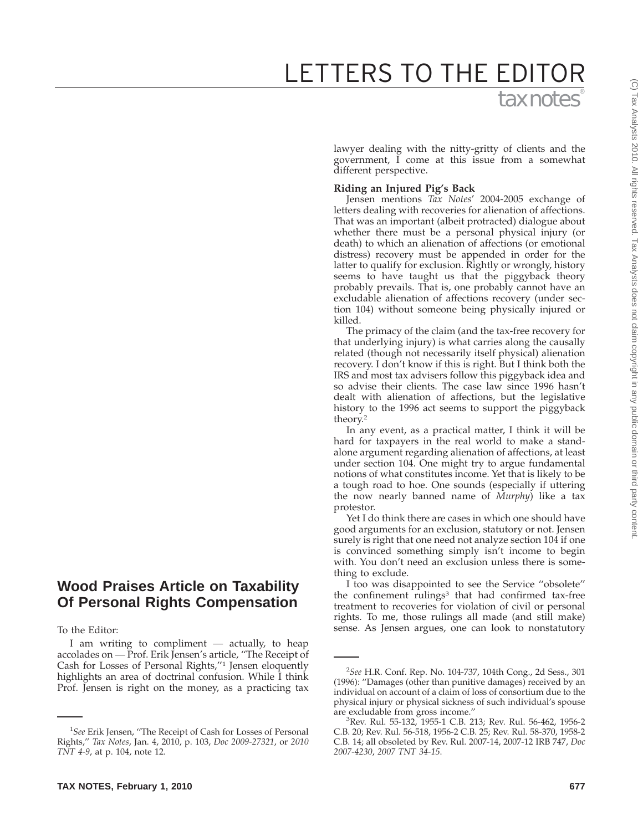# tax notes® LETTERS TO THE EDITOR

lawyer dealing with the nitty-gritty of clients and the government, I come at this issue from a somewhat different perspective.

## **Riding an Injured Pig's Back**

Jensen mentions *Tax Notes*' 2004-2005 exchange of letters dealing with recoveries for alienation of affections. That was an important (albeit protracted) dialogue about whether there must be a personal physical injury (or death) to which an alienation of affections (or emotional distress) recovery must be appended in order for the latter to qualify for exclusion. Rightly or wrongly, history seems to have taught us that the piggyback theory probably prevails. That is, one probably cannot have an excludable alienation of affections recovery (under section 104) without someone being physically injured or killed.

The primacy of the claim (and the tax-free recovery for that underlying injury) is what carries along the causally related (though not necessarily itself physical) alienation recovery. I don't know if this is right. But I think both the IRS and most tax advisers follow this piggyback idea and so advise their clients. The case law since 1996 hasn't dealt with alienation of affections, but the legislative history to the 1996 act seems to support the piggyback theory.2

In any event, as a practical matter, I think it will be hard for taxpayers in the real world to make a standalone argument regarding alienation of affections, at least under section 104. One might try to argue fundamental notions of what constitutes income. Yet that is likely to be a tough road to hoe. One sounds (especially if uttering the now nearly banned name of *Murphy*) like a tax protestor.

Yet I do think there are cases in which one should have good arguments for an exclusion, statutory or not. Jensen surely is right that one need not analyze section 104 if one is convinced something simply isn't income to begin with. You don't need an exclusion unless there is something to exclude.

I too was disappointed to see the Service ''obsolete'' the confinement rulings<sup>3</sup> that had confirmed tax-free treatment to recoveries for violation of civil or personal rights. To me, those rulings all made (and still make) sense. As Jensen argues, one can look to nonstatutory

To the Editor:

I am writing to compliment — actually, to heap accolades on — Prof. Erik Jensen's article, ''The Receipt of Cash for Losses of Personal Rights,''1 Jensen eloquently highlights an area of doctrinal confusion. While I think Prof. Jensen is right on the money, as a practicing tax

<sup>2</sup> *See* H.R. Conf. Rep. No. 104-737, 104th Cong., 2d Sess., 301 (1996): ''Damages (other than punitive damages) received by an individual on account of a claim of loss of consortium due to the physical injury or physical sickness of such individual's spouse are excludable from gross income."

Rev. Rul. 55-132, 1955-1 C.B. 213; Rev. Rul. 56-462, 1956-2 C.B. 20; Rev. Rul. 56-518, 1956-2 C.B. 25; Rev. Rul. 58-370, 1958-2 C.B. 14; all obsoleted by Rev. Rul. 2007-14, 2007-12 IRB 747, *Doc 2007-4230*, *2007 TNT 34-15*.

**Wood Praises Article on Taxability Of Personal Rights Compensation**

<sup>&</sup>lt;sup>1</sup>See Erik Jensen, "The Receipt of Cash for Losses of Personal Rights,'' *Tax Notes*, Jan. 4, 2010, p. 103, *Doc 2009-27321*, or *2010 TNT 4-9*, at p. 104, note 12.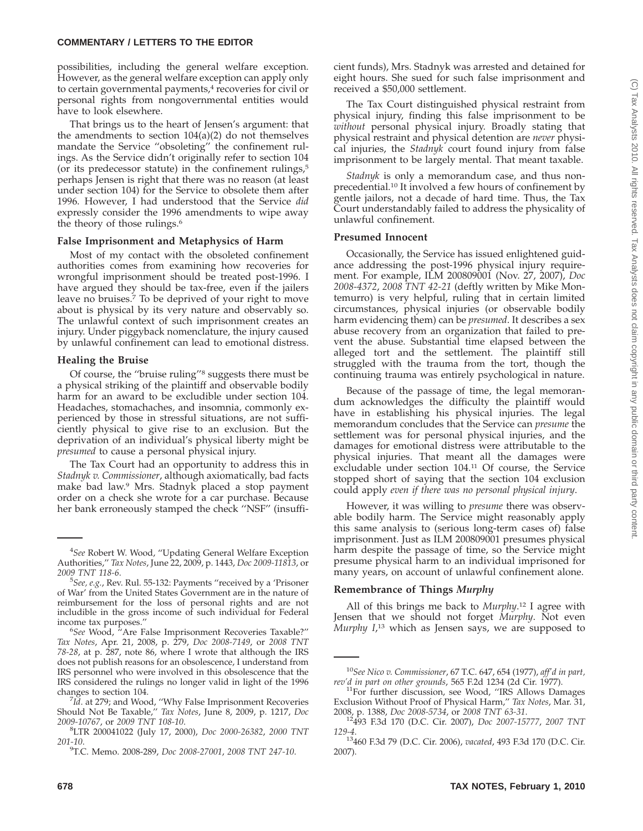#### **COMMENTARY / LETTERS TO THE EDITOR**

possibilities, including the general welfare exception. However, as the general welfare exception can apply only to certain governmental payments,<sup>4</sup> recoveries for civil or personal rights from nongovernmental entities would have to look elsewhere.

That brings us to the heart of Jensen's argument: that the amendments to section 104(a)(2) do not themselves mandate the Service ''obsoleting'' the confinement rulings. As the Service didn't originally refer to section 104 (or its predecessor statute) in the confinement rulings, $5$ perhaps Jensen is right that there was no reason (at least under section 104) for the Service to obsolete them after 1996. However, I had understood that the Service *did* expressly consider the 1996 amendments to wipe away the theory of those rulings.<sup>6</sup>

### **False Imprisonment and Metaphysics of Harm**

Most of my contact with the obsoleted confinement authorities comes from examining how recoveries for wrongful imprisonment should be treated post-1996. I have argued they should be tax-free, even if the jailers leave no bruises.<sup>7</sup> To be deprived of your right to move about is physical by its very nature and observably so. The unlawful context of such imprisonment creates an injury. Under piggyback nomenclature, the injury caused by unlawful confinement can lead to emotional distress.

### **Healing the Bruise**

Of course, the ''bruise ruling''8 suggests there must be a physical striking of the plaintiff and observable bodily harm for an award to be excludible under section 104. Headaches, stomachaches, and insomnia, commonly experienced by those in stressful situations, are not sufficiently physical to give rise to an exclusion. But the deprivation of an individual's physical liberty might be *presumed* to cause a personal physical injury.

The Tax Court had an opportunity to address this in *Stadnyk v. Commissioner*, although axiomatically, bad facts make bad law.9 Mrs. Stadnyk placed a stop payment order on a check she wrote for a car purchase. Because her bank erroneously stamped the check ''NSF'' (insufficient funds), Mrs. Stadnyk was arrested and detained for eight hours. She sued for such false imprisonment and received a \$50,000 settlement.

The Tax Court distinguished physical restraint from physical injury, finding this false imprisonment to be *without* personal physical injury. Broadly stating that physical restraint and physical detention are *never* physical injuries, the *Stadnyk* court found injury from false imprisonment to be largely mental. That meant taxable.

*Stadnyk* is only a memorandum case, and thus nonprecedential.10 It involved a few hours of confinement by gentle jailors, not a decade of hard time. Thus, the Tax Court understandably failed to address the physicality of unlawful confinement.

### **Presumed Innocent**

Occasionally, the Service has issued enlightened guidance addressing the post-1996 physical injury requirement. For example, ILM 200809001 (Nov. 27, 2007), *Doc 2008-4372*, *2008 TNT 42-21* (deftly written by Mike Montemurro) is very helpful, ruling that in certain limited circumstances, physical injuries (or observable bodily harm evidencing them) can be *presumed*. It describes a sex abuse recovery from an organization that failed to prevent the abuse. Substantial time elapsed between the alleged tort and the settlement. The plaintiff still struggled with the trauma from the tort, though the continuing trauma was entirely psychological in nature.

Because of the passage of time, the legal memorandum acknowledges the difficulty the plaintiff would have in establishing his physical injuries. The legal memorandum concludes that the Service can *presume* the settlement was for personal physical injuries, and the damages for emotional distress were attributable to the physical injuries. That meant all the damages were excludable under section 104.11 Of course, the Service stopped short of saying that the section 104 exclusion could apply *even if there was no personal physical injury*.

However, it was willing to *presume* there was observable bodily harm. The Service might reasonably apply this same analysis to (serious long-term cases of) false imprisonment. Just as ILM 200809001 presumes physical harm despite the passage of time, so the Service might presume physical harm to an individual imprisoned for many years, on account of unlawful confinement alone.

#### **Remembrance of Things** *Murphy*

All of this brings me back to *Murphy*. <sup>12</sup> I agree with Jensen that we should not forget *Murphy*. Not even *Murphy I*, <sup>13</sup> which as Jensen says, we are supposed to

<sup>4</sup> *See* Robert W. Wood, ''Updating General Welfare Exception Authorities,'' *Tax Notes*, June 22, 2009, p. 1443, *Doc 2009-11813*, or 2009 TNT 118-6.

*See, e.g.*, Rev. Rul. 55-132: Payments ''received by a 'Prisoner of War' from the United States Government are in the nature of reimbursement for the loss of personal rights and are not includible in the gross income of such individual for Federal income tax purposes."

*See* Wood, ''Are False Imprisonment Recoveries Taxable?'' *Tax Notes*, Apr. 21, 2008, p. 279, *Doc 2008-7149*, or *2008 TNT 78-28*, at p. 287, note 86, where I wrote that although the IRS does not publish reasons for an obsolescence, I understand from IRS personnel who were involved in this obsolescence that the IRS considered the rulings no longer valid in light of the 1996

changes to section 104.<br><sup>7</sup>Id. at 279; and Wood, "Why False Imprisonment Recoveries Should Not Be Taxable,'' *Tax Notes*, June 8, 2009, p. 1217, *Doc 2009-10767*, or *2009 TNT 108-10*. <sup>8</sup>

LTR 200041022 (July 17, 2000), *Doc 2000-26382*, *2000 TNT 201-10*. <sup>9</sup>

T.C. Memo. 2008-289, *Doc 2008-27001*, *2008 TNT 247-10*.

<sup>10</sup>*See Nico v. Commissioner*, 67 T.C. 647, 654 (1977), *aff'd in part,*

*rev'd in part on other grounds*, 565 F.2d 1234 (2d Cir. 1977).<br><sup>11</sup>For further discussion, see Wood, "IRS Allows Damages Exclusion Without Proof of Physical Harm,'' *Tax Notes*, Mar. 31,

<sup>2008,</sup> p. 1388, *Doc 2008-5734*, or *2008 TNT 63-31*. 12493 F.3d 170 (D.C. Cir. 2007), *Doc 2007-15777*, *2007 TNT*

*<sup>129-4</sup>*. 13460 F.3d 79 (D.C. Cir. 2006), *vacated*, 493 F.3d 170 (D.C. Cir. 2007).